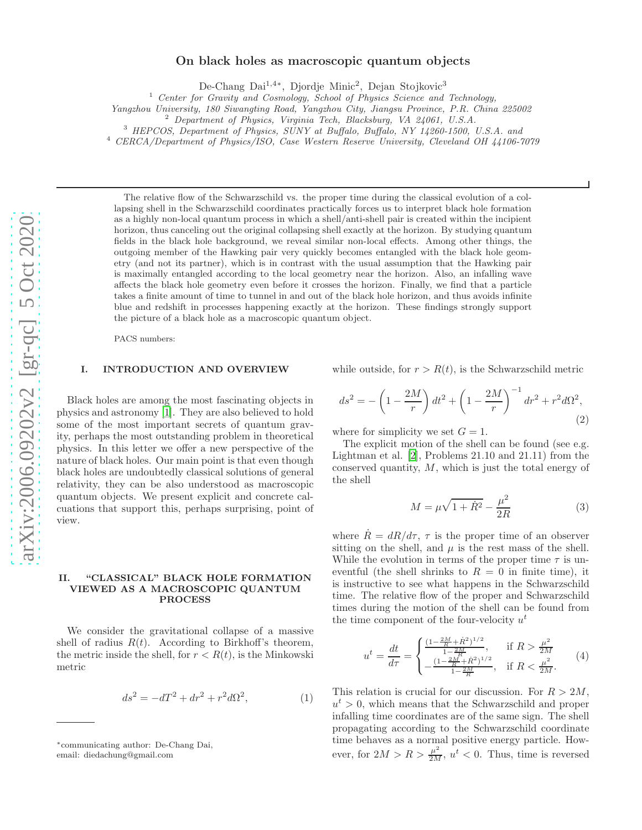# On black holes as macroscopic quantum objects

De-Chang Dai<sup>1,4\*</sup>, Djordje Minic<sup>2</sup>, Dejan Stojkovic<sup>3</sup>

<sup>1</sup> Center for Gravity and Cosmology, School of Physics Science and Technology, Yangzhou University, 180 Siwangting Road, Yangzhou City, Jiangsu Province, P.R. China 225002

<sup>2</sup> Department of Physics, Virginia Tech, Blacksburg, VA 24061, U.S.A.<br><sup>3</sup> HEPCOS, Department of Physics, SUNY at Buffalo, Buffalo, NY 14260-1500, U.S.A. and

<sup>4</sup> CERCA/Department of Physics/ISO, Case Western Reserve University, Cleveland OH 44106-7079

The relative flow of the Schwarzschild vs. the proper time during the classical evolution of a collapsing shell in the Schwarzschild coordinates practically forces us to interpret black hole formation as a highly non-local quantum process in which a shell/anti-shell pair is created within the incipient horizon, thus canceling out the original collapsing shell exactly at the horizon. By studying quantum fields in the black hole background, we reveal similar non-local effects. Among other things, the outgoing member of the Hawking pair very quickly becomes entangled with the black hole geometry (and not its partner), which is in contrast with the usual assumption that the Hawking pair is maximally entangled according to the local geometry near the horizon. Also, an infalling wave affects the black hole geometry even before it crosses the horizon. Finally, we find that a particle takes a finite amount of time to tunnel in and out of the black hole horizon, and thus avoids infinite blue and redshift in processes happening exactly at the horizon. These findings strongly support the picture of a black hole as a macroscopic quantum object.

PACS numbers:

### I. INTRODUCTION AND OVERVIEW

Black holes are among the most fascinating objects in physics and astronomy [\[1\]](#page-6-0). They are also believed to hold some of the most important secrets of quantum gravity, perhaps the most outstanding problem in theoretical physics. In this letter we offer a new perspective of the nature of black holes. Our main point is that even though black holes are undoubtedly classical solutions of general relativity, they can be also understood as macroscopic quantum objects. We present explicit and concrete calcuations that support this, perhaps surprising, point of view.

#### <span id="page-0-3"></span>II. "CLASSICAL" BLACK HOLE FORMATION VIEWED AS A MACROSCOPIC QUANTUM PROCESS

We consider the gravitational collapse of a massive shell of radius  $R(t)$ . According to Birkhoff's theorem, the metric inside the shell, for  $r < R(t)$ , is the Minkowski metric

$$
ds^{2} = -dT^{2} + dr^{2} + r^{2}d\Omega^{2},
$$
 (1)

while outside, for  $r > R(t)$ , is the Schwarzschild metric

<span id="page-0-2"></span>
$$
ds^{2} = -\left(1 - \frac{2M}{r}\right)dt^{2} + \left(1 - \frac{2M}{r}\right)^{-1}dr^{2} + r^{2}d\Omega^{2},\tag{2}
$$

where for simplicity we set  $G = 1$ .

The explicit motion of the shell can be found (see e.g. Lightman et al. [\[2\]](#page-6-1), Problems 21.10 and 21.11) from the conserved quantity, M, which is just the total energy of the shell

<span id="page-0-0"></span>
$$
M = \mu \sqrt{1 + \dot{R}^2} - \frac{\mu^2}{2R}
$$
 (3)

where  $\dot{R} = dR/d\tau$ ,  $\tau$  is the proper time of an observer sitting on the shell, and  $\mu$  is the rest mass of the shell. While the evolution in terms of the proper time  $\tau$  is uneventful (the shell shrinks to  $R = 0$  in finite time), it is instructive to see what happens in the Schwarzschild time. The relative flow of the proper and Schwarzschild times during the motion of the shell can be found from the time component of the four-velocity  $u^t$ 

<span id="page-0-1"></span>
$$
u^{t} = \frac{dt}{d\tau} = \begin{cases} \frac{(1 - \frac{2M}{R} + \dot{R}^{2})^{1/2}}{1 - \frac{2M}{R}}, & \text{if } R > \frac{\mu^{2}}{2M} \\ -\frac{(1 - \frac{2M}{R} + \dot{R}^{2})^{1/2}}{1 - \frac{2M}{R}}, & \text{if } R < \frac{\mu^{2}}{2M}. \end{cases}
$$
(4)

This relation is crucial for our discussion. For  $R > 2M$ ,  $u^t > 0$ , which means that the Schwarzschild and proper infalling time coordinates are of the same sign. The shell propagating according to the Schwarzschild coordinate time behaves as a normal positive energy particle. However, for  $2M > R > \frac{\mu^2}{2M}$ ,  $u^t < 0$ . Thus, time is reversed

<sup>∗</sup> communicating author: De-Chang Dai, email: diedachung@gmail.com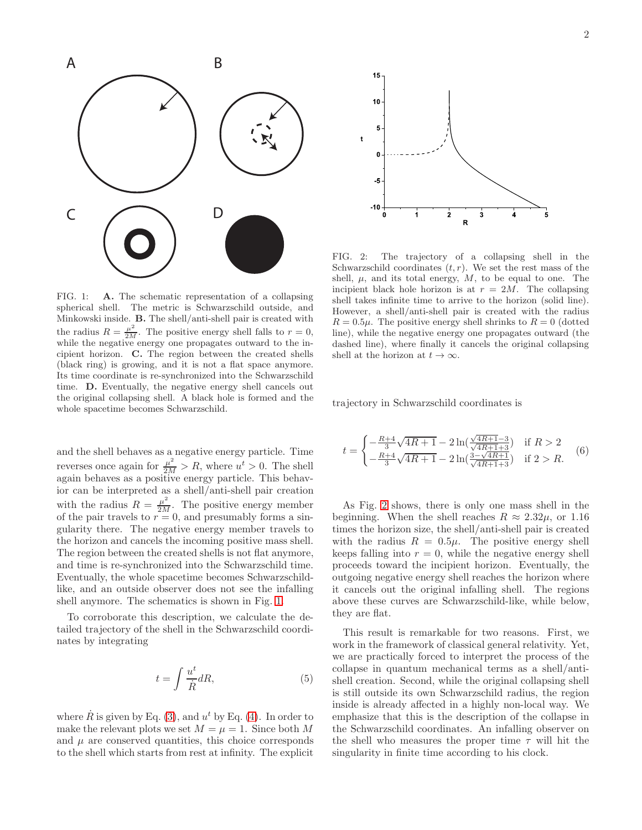

<span id="page-1-0"></span>FIG. 1: A. The schematic representation of a collapsing spherical shell. The metric is Schwarzschild outside, and Minkowski inside. B. The shell/anti-shell pair is created with the radius  $R = \frac{\mu^2}{2M}$ . The positive energy shell falls to  $r = 0$ , while the negative energy one propagates outward to the incipient horizon. C. The region between the created shells (black ring) is growing, and it is not a flat space anymore. Its time coordinate is re-synchronized into the Schwarzschild time. D. Eventually, the negative energy shell cancels out the original collapsing shell. A black hole is formed and the whole spacetime becomes Schwarzschild.

and the shell behaves as a negative energy particle. Time reverses once again for  $\frac{\mu^2}{2M} > R$ , where  $u^t > 0$ . The shell again behaves as a positive energy particle. This behavior can be interpreted as a shell/anti-shell pair creation with the radius  $R = \frac{\mu^2}{2M}$ . The positive energy member of the pair travels to  $r = 0$ , and presumably forms a singularity there. The negative energy member travels to the horizon and cancels the incoming positive mass shell. The region between the created shells is not flat anymore, and time is re-synchronized into the Schwarzschild time. Eventually, the whole spacetime becomes Schwarzschildlike, and an outside observer does not see the infalling shell anymore. The schematics is shown in Fig. [1.](#page-1-0)

To corroborate this description, we calculate the detailed trajectory of the shell in the Schwarzschild coordinates by integrating

$$
t = \int \frac{u^t}{\dot{R}} dR,\tag{5}
$$

where  $\dot{R}$  is given by Eq. [\(3\)](#page-0-0), and  $u^t$  by Eq. [\(4\)](#page-0-1). In order to make the relevant plots we set  $M = \mu = 1$ . Since both M and  $\mu$  are conserved quantities, this choice corresponds to the shell which starts from rest at infinity. The explicit



<span id="page-1-1"></span>FIG. 2: The trajectory of a collapsing shell in the Schwarzschild coordinates  $(t, r)$ . We set the rest mass of the shell,  $\mu$ , and its total energy,  $M$ , to be equal to one. The incipient black hole horizon is at  $r = 2M$ . The collapsing shell takes infinite time to arrive to the horizon (solid line). However, a shell/anti-shell pair is created with the radius  $R = 0.5\mu$ . The positive energy shell shrinks to  $R = 0$  (dotted line), while the negative energy one propagates outward (the dashed line), where finally it cancels the original collapsing shell at the horizon at  $t \to \infty$ .

trajectory in Schwarzschild coordinates is

<span id="page-1-2"></span>
$$
t = \begin{cases} -\frac{R+4}{3}\sqrt{4R+1} - 2\ln(\frac{\sqrt{4R+1}-3}{\sqrt{4R+1}+3}) & \text{if } R > 2\\ -\frac{R+4}{3}\sqrt{4R+1} - 2\ln(\frac{3-\sqrt{4R+1}}{\sqrt{4R+1}+3}) & \text{if } 2 > R. \end{cases} \tag{6}
$$

As Fig. [2](#page-1-1) shows, there is only one mass shell in the beginning. When the shell reaches  $R \approx 2.32\mu$ , or 1.16 times the horizon size, the shell/anti-shell pair is created with the radius  $R = 0.5\mu$ . The positive energy shell keeps falling into  $r = 0$ , while the negative energy shell proceeds toward the incipient horizon. Eventually, the outgoing negative energy shell reaches the horizon where it cancels out the original infalling shell. The regions above these curves are Schwarzschild-like, while below, they are flat.

This result is remarkable for two reasons. First, we work in the framework of classical general relativity. Yet, we are practically forced to interpret the process of the collapse in quantum mechanical terms as a shell/antishell creation. Second, while the original collapsing shell is still outside its own Schwarzschild radius, the region inside is already affected in a highly non-local way. We emphasize that this is the description of the collapse in the Schwarzschild coordinates. An infalling observer on the shell who measures the proper time  $\tau$  will hit the singularity in finite time according to his clock.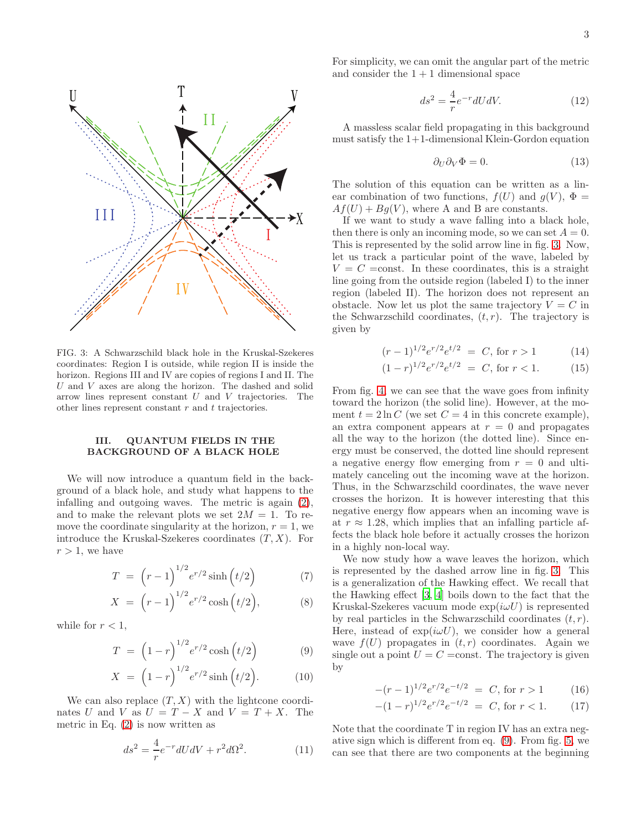

<span id="page-2-0"></span>FIG. 3: A Schwarzschild black hole in the Kruskal-Szekeres coordinates: Region I is outside, while region II is inside the horizon. Regions III and IV are copies of regions I and II. The  $U$  and  $V$  axes are along the horizon. The dashed and solid arrow lines represent constant  $U$  and  $V$  trajectories. The other lines represent constant  $r$  and  $t$  trajectories.

### <span id="page-2-2"></span>III. QUANTUM FIELDS IN THE BACKGROUND OF A BLACK HOLE

We will now introduce a quantum field in the background of a black hole, and study what happens to the infalling and outgoing waves. The metric is again [\(2\)](#page-0-2), and to make the relevant plots we set  $2M = 1$ . To remove the coordinate singularity at the horizon,  $r = 1$ , we introduce the Kruskal-Szekeres coordinates  $(T, X)$ . For  $r > 1$ , we have

$$
T = \left(r - 1\right)^{1/2} e^{r/2} \sinh\left(t/2\right) \tag{7}
$$

$$
X = (r-1)^{1/2} e^{r/2} \cosh(t/2), \tag{8}
$$

while for  $r < 1$ ,

<span id="page-2-1"></span>
$$
T = \left(1 - r\right)^{1/2} e^{r/2} \cosh\left(t/2\right) \tag{9}
$$

$$
X = (1 - r)^{1/2} e^{r/2} \sinh(t/2).
$$
 (10)

We can also replace  $(T, X)$  with the lightcone coordinates U and V as  $U = T - X$  and  $V = T + X$ . The metric in Eq.  $(2)$  is now written as

$$
ds^2 = \frac{4}{r}e^{-r}dUdV + r^2d\Omega^2.
$$
 (11)

For simplicity, we can omit the angular part of the metric and consider the  $1 + 1$  dimensional space

$$
ds^2 = \frac{4}{r}e^{-r}dUdV.\tag{12}
$$

A massless scalar field propagating in this background must satisfy the  $1+1$ -dimensional Klein-Gordon equation

$$
\partial_U \partial_V \Phi = 0. \tag{13}
$$

The solution of this equation can be written as a linear combination of two functions,  $f(U)$  and  $g(V)$ ,  $\Phi =$  $Af(U) + Bg(V)$ , where A and B are constants.

If we want to study a wave falling into a black hole, then there is only an incoming mode, so we can set  $A = 0$ . This is represented by the solid arrow line in fig. [3.](#page-2-0) Now, let us track a particular point of the wave, labeled by  $V = C = \text{const.}$  In these coordinates, this is a straight line going from the outside region (labeled I) to the inner region (labeled II). The horizon does not represent an obstacle. Now let us plot the same trajectory  $V = C$  in the Schwarzschild coordinates,  $(t, r)$ . The trajectory is given by

$$
(r-1)^{1/2}e^{r/2}e^{t/2} = C, \text{ for } r > 1 \tag{14}
$$

$$
(1-r)^{1/2}e^{r/2}e^{t/2} = C, \text{ for } r < 1.
$$
 (15)

From fig. [4,](#page-3-0) we can see that the wave goes from infinity toward the horizon (the solid line). However, at the moment  $t = 2 \ln C$  (we set  $C = 4$  in this concrete example), an extra component appears at  $r = 0$  and propagates all the way to the horizon (the dotted line). Since energy must be conserved, the dotted line should represent a negative energy flow emerging from  $r = 0$  and ultimately canceling out the incoming wave at the horizon. Thus, in the Schwarzschild coordinates, the wave never crosses the horizon. It is however interesting that this negative energy flow appears when an incoming wave is at  $r \approx 1.28$ , which implies that an infalling particle affects the black hole before it actually crosses the horizon in a highly non-local way.

We now study how a wave leaves the horizon, which is represented by the dashed arrow line in fig. [3.](#page-2-0) This is a generalization of the Hawking effect. We recall that the Hawking effect [\[3,](#page-6-2) [4\]](#page-6-3) boils down to the fact that the Kruskal-Szekeres vacuum mode  $\exp(i\omega U)$  is represented by real particles in the Schwarzschild coordinates  $(t, r)$ . Here, instead of  $\exp(i\omega U)$ , we consider how a general wave  $f(U)$  propagates in  $(t, r)$  coordinates. Again we single out a point  $U = C = \text{const.}$  The trajectory is given by

$$
-(r-1)^{1/2}e^{r/2}e^{-t/2} = C, \text{ for } r > 1 \tag{16}
$$

$$
-(1-r)^{1/2}e^{r/2}e^{-t/2} = C, \text{ for } r < 1.
$$
 (17)

Note that the coordinate T in region IV has an extra negative sign which is different from eq. [\(9\)](#page-2-1). From fig. [5,](#page-3-1) we can see that there are two components at the beginning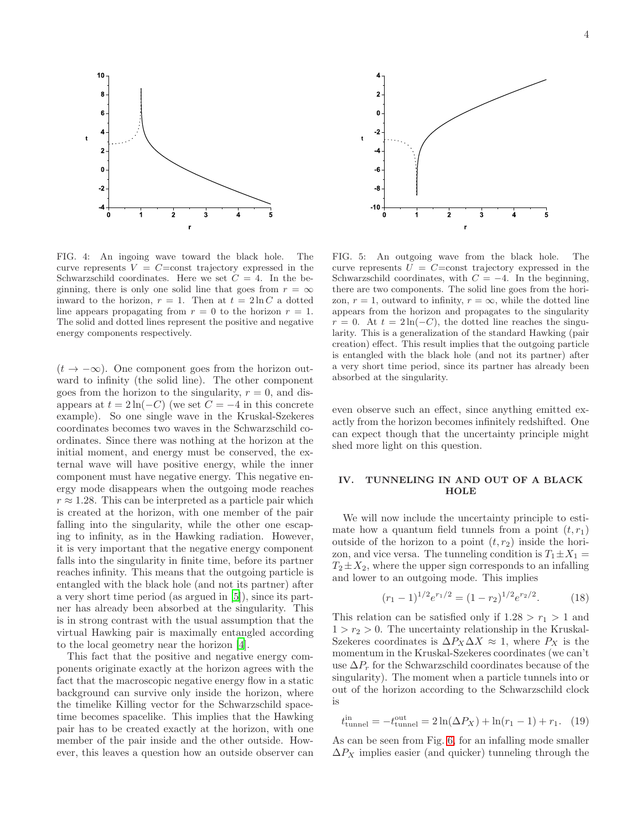

<span id="page-3-0"></span>FIG. 4: An ingoing wave toward the black hole. The curve represents  $V = C = \text{const}$  trajectory expressed in the Schwarzschild coordinates. Here we set  $C = 4$ . In the beginning, there is only one solid line that goes from  $r = \infty$ inward to the horizon,  $r = 1$ . Then at  $t = 2 \ln C$  a dotted line appears propagating from  $r = 0$  to the horizon  $r = 1$ . The solid and dotted lines represent the positive and negative energy components respectively.

 $(t \rightarrow -\infty)$ . One component goes from the horizon outward to infinity (the solid line). The other component goes from the horizon to the singularity,  $r = 0$ , and disappears at  $t = 2\ln(-C)$  (we set  $C = -4$  in this concrete example). So one single wave in the Kruskal-Szekeres coordinates becomes two waves in the Schwarzschild coordinates. Since there was nothing at the horizon at the initial moment, and energy must be conserved, the external wave will have positive energy, while the inner component must have negative energy. This negative energy mode disappears when the outgoing mode reaches  $r \approx 1.28$ . This can be interpreted as a particle pair which is created at the horizon, with one member of the pair falling into the singularity, while the other one escaping to infinity, as in the Hawking radiation. However, it is very important that the negative energy component falls into the singularity in finite time, before its partner reaches infinity. This means that the outgoing particle is entangled with the black hole (and not its partner) after a very short time period (as argued in [\[5\]](#page-6-4)), since its partner has already been absorbed at the singularity. This is in strong contrast with the usual assumption that the virtual Hawking pair is maximally entangled according to the local geometry near the horizon [\[4\]](#page-6-3).

This fact that the positive and negative energy components originate exactly at the horizon agrees with the fact that the macroscopic negative energy flow in a static background can survive only inside the horizon, where the timelike Killing vector for the Schwarzschild spacetime becomes spacelike. This implies that the Hawking pair has to be created exactly at the horizon, with one member of the pair inside and the other outside. However, this leaves a question how an outside observer can



<span id="page-3-1"></span>FIG. 5: An outgoing wave from the black hole. The curve represents  $U = C = \text{const}$  trajectory expressed in the Schwarzschild coordinates, with  $C = -4$ . In the beginning, there are two components. The solid line goes from the horizon,  $r = 1$ , outward to infinity,  $r = \infty$ , while the dotted line appears from the horizon and propagates to the singularity  $r = 0$ . At  $t = 2\ln(-C)$ , the dotted line reaches the singularity. This is a generalization of the standard Hawking (pair creation) effect. This result implies that the outgoing particle is entangled with the black hole (and not its partner) after a very short time period, since its partner has already been absorbed at the singularity.

even observe such an effect, since anything emitted exactly from the horizon becomes infinitely redshifted. One can expect though that the uncertainty principle might shed more light on this question.

# IV. TUNNELING IN AND OUT OF A BLACK **HOLE**

We will now include the uncertainty principle to estimate how a quantum field tunnels from a point  $(t, r_1)$ outside of the horizon to a point  $(t, r_2)$  inside the horizon, and vice versa. The tunneling condition is  $T_1 \pm X_1 =$  $T_2 \pm X_2$ , where the upper sign corresponds to an infalling and lower to an outgoing mode. This implies

$$
(r_1 - 1)^{1/2} e^{r_1/2} = (1 - r_2)^{1/2} e^{r_2/2}.
$$
 (18)

This relation can be satisfied only if  $1.28 > r_1 > 1$  and  $1 > r_2 > 0$ . The uncertainty relationship in the Kruskal-Szekeres coordinates is  $\Delta P_X \Delta X \approx 1$ , where  $P_X$  is the momentum in the Kruskal-Szekeres coordinates (we can't use  $\Delta P_r$  for the Schwarzschild coordinates because of the singularity). The moment when a particle tunnels into or out of the horizon according to the Schwarzschild clock is

$$
t_{\text{tunnel}}^{\text{in}} = -t_{\text{tunnel}}^{\text{out}} = 2\ln(\Delta P_X) + \ln(r_1 - 1) + r_1. \quad (19)
$$

As can be seen from Fig. [6,](#page-4-0) for an infalling mode smaller  $\Delta P_X$  implies easier (and quicker) tunneling through the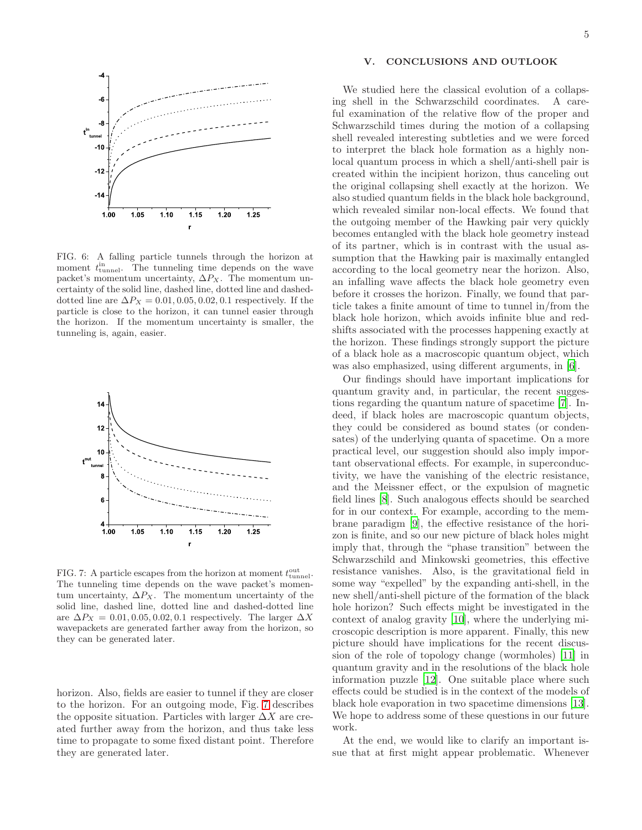

<span id="page-4-0"></span>FIG. 6: A falling particle tunnels through the horizon at moment  $t_{\text{tunnel}}^{\text{in}}$ . The tunneling time depends on the wave packet's momentum uncertainty,  $\Delta P_X$ . The momentum uncertainty of the solid line, dashed line, dotted line and dasheddotted line are  $\Delta P_X = 0.01, 0.05, 0.02, 0.1$  respectively. If the particle is close to the horizon, it can tunnel easier through the horizon. If the momentum uncertainty is smaller, the tunneling is, again, easier.



<span id="page-4-1"></span>FIG. 7: A particle escapes from the horizon at moment  $t_{\text{tunnel}}^{\text{out}}$ . The tunneling time depends on the wave packet's momentum uncertainty,  $\Delta P_X$ . The momentum uncertainty of the solid line, dashed line, dotted line and dashed-dotted line are  $\Delta P_X = 0.01, 0.05, 0.02, 0.1$  respectively. The larger  $\Delta X$ wavepackets are generated farther away from the horizon, so they can be generated later.

horizon. Also, fields are easier to tunnel if they are closer to the horizon. For an outgoing mode, Fig. [7](#page-4-1) describes the opposite situation. Particles with larger  $\Delta X$  are created further away from the horizon, and thus take less time to propagate to some fixed distant point. Therefore they are generated later.

# V. CONCLUSIONS AND OUTLOOK

We studied here the classical evolution of a collapsing shell in the Schwarzschild coordinates. A careful examination of the relative flow of the proper and Schwarzschild times during the motion of a collapsing shell revealed interesting subtleties and we were forced to interpret the black hole formation as a highly nonlocal quantum process in which a shell/anti-shell pair is created within the incipient horizon, thus canceling out the original collapsing shell exactly at the horizon. We also studied quantum fields in the black hole background, which revealed similar non-local effects. We found that the outgoing member of the Hawking pair very quickly becomes entangled with the black hole geometry instead of its partner, which is in contrast with the usual assumption that the Hawking pair is maximally entangled according to the local geometry near the horizon. Also, an infalling wave affects the black hole geometry even before it crosses the horizon. Finally, we found that particle takes a finite amount of time to tunnel in/from the black hole horizon, which avoids infinite blue and redshifts associated with the processes happening exactly at the horizon. These findings strongly support the picture of a black hole as a macroscopic quantum object, which was also emphasized, using different arguments, in [\[6](#page-6-5)].

Our findings should have important implications for quantum gravity and, in particular, the recent suggestions regarding the quantum nature of spacetime [\[7\]](#page-6-6). Indeed, if black holes are macroscopic quantum objects, they could be considered as bound states (or condensates) of the underlying quanta of spacetime. On a more practical level, our suggestion should also imply important observational effects. For example, in superconductivity, we have the vanishing of the electric resistance, and the Meissner effect, or the expulsion of magnetic field lines [\[8](#page-6-7)]. Such analogous effects should be searched for in our context. For example, according to the membrane paradigm [\[9](#page-6-8)], the effective resistance of the horizon is finite, and so our new picture of black holes might imply that, through the "phase transition" between the Schwarzschild and Minkowski geometries, this effective resistance vanishes. Also, is the gravitational field in some way "expelled" by the expanding anti-shell, in the new shell/anti-shell picture of the formation of the black hole horizon? Such effects might be investigated in the context of analog gravity [\[10\]](#page-6-9), where the underlying microscopic description is more apparent. Finally, this new picture should have implications for the recent discussion of the role of topology change (wormholes) [\[11\]](#page-6-10) in quantum gravity and in the resolutions of the black hole information puzzle [\[12\]](#page-6-11). One suitable place where such effects could be studied is in the context of the models of black hole evaporation in two spacetime dimensions [\[13\]](#page-6-12). We hope to address some of these questions in our future work.

At the end, we would like to clarify an important issue that at first might appear problematic. Whenever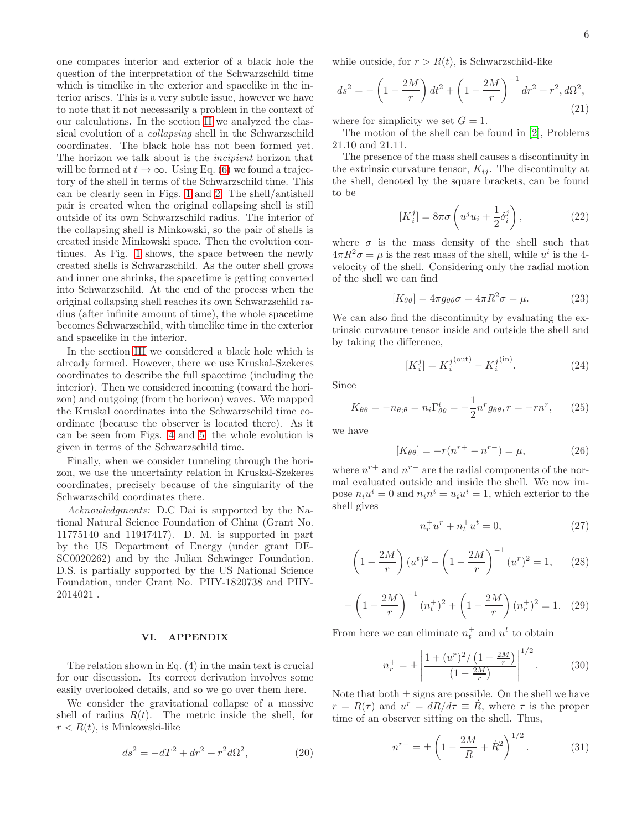one compares interior and exterior of a black hole the question of the interpretation of the Schwarzschild time which is timelike in the exterior and spacelike in the interior arises. This is a very subtle issue, however we have to note that it not necessarily a problem in the context of our calculations. In the section [II](#page-0-3) we analyzed the classical evolution of a collapsing shell in the Schwarzschild coordinates. The black hole has not been formed yet. The horizon we talk about is the *incipient* horizon that will be formed at  $t \to \infty$ . Using Eq. [\(6\)](#page-1-2) we found a trajectory of the shell in terms of the Schwarzschild time. This can be clearly seen in Figs. [1](#page-1-0) and [2.](#page-1-1) The shell/antishell pair is created when the original collapsing shell is still outside of its own Schwarzschild radius. The interior of the collapsing shell is Minkowski, so the pair of shells is created inside Minkowski space. Then the evolution continues. As Fig. [1](#page-1-0) shows, the space between the newly created shells is Schwarzschild. As the outer shell grows and inner one shrinks, the spacetime is getting converted into Schwarzschild. At the end of the process when the original collapsing shell reaches its own Schwarzschild radius (after infinite amount of time), the whole spacetime becomes Schwarzschild, with timelike time in the exterior and spacelike in the interior.

In the section [III](#page-2-2) we considered a black hole which is already formed. However, there we use Kruskal-Szekeres coordinates to describe the full spacetime (including the interior). Then we considered incoming (toward the horizon) and outgoing (from the horizon) waves. We mapped the Kruskal coordinates into the Schwarzschild time coordinate (because the observer is located there). As it can be seen from Figs. [4](#page-3-0) and [5,](#page-3-1) the whole evolution is given in terms of the Schwarzschild time.

Finally, when we consider tunneling through the horizon, we use the uncertainty relation in Kruskal-Szekeres coordinates, precisely because of the singularity of the Schwarzschild coordinates there.

Acknowledgments: D.C Dai is supported by the National Natural Science Foundation of China (Grant No. 11775140 and 11947417). D. M. is supported in part by the US Department of Energy (under grant DE-SC0020262) and by the Julian Schwinger Foundation. D.S. is partially supported by the US National Science Foundation, under Grant No. PHY-1820738 and PHY-2014021 .

#### VI. APPENDIX

The relation shown in Eq. (4) in the main text is crucial for our discussion. Its correct derivation involves some easily overlooked details, and so we go over them here.

We consider the gravitational collapse of a massive shell of radius  $R(t)$ . The metric inside the shell, for  $r < R(t)$ , is Minkowski-like

$$
ds^{2} = -dT^{2} + dr^{2} + r^{2}d\Omega^{2},
$$
 (20)

while outside, for  $r > R(t)$ , is Schwarzschild-like

$$
ds^{2} = -\left(1 - \frac{2M}{r}\right)dt^{2} + \left(1 - \frac{2M}{r}\right)^{-1}dr^{2} + r^{2}, d\Omega^{2},
$$
\n(21)

where for simplicity we set  $G = 1$ .

The motion of the shell can be found in [\[2\]](#page-6-1), Problems 21.10 and 21.11.

The presence of the mass shell causes a discontinuity in the extrinsic curvature tensor,  $K_{ii}$ . The discontinuity at the shell, denoted by the square brackets, can be found to be

$$
[K_i^j] = 8\pi\sigma \left( u^j u_i + \frac{1}{2} \delta_i^j \right),\tag{22}
$$

where  $\sigma$  is the mass density of the shell such that  $4\pi R^2 \sigma = \mu$  is the rest mass of the shell, while  $u^i$  is the 4velocity of the shell. Considering only the radial motion of the shell we can find

$$
[K_{\theta\theta}] = 4\pi g_{\theta\theta}\sigma = 4\pi R^2 \sigma = \mu.
$$
 (23)

We can also find the discontinuity by evaluating the extrinsic curvature tensor inside and outside the shell and by taking the difference,

$$
[K_i^j] = K_i^{j^{\text{(out)}}} - K_i^{j^{\text{(in)}}}.
$$
 (24)

Since

$$
K_{\theta\theta} = -n_{\theta;\theta} = n_i \Gamma_{\theta\theta}^i = -\frac{1}{2} n^r g_{\theta\theta}, r = -r n^r, \qquad (25)
$$

we have

<span id="page-5-0"></span>
$$
[K_{\theta\theta}] = -r(n^{r+} - n^{r-}) = \mu,
$$
\n(26)

where  $n^{r+}$  and  $n^{r-}$  are the radial components of the normal evaluated outside and inside the shell. We now impose  $n_i u^i = 0$  and  $n_i n^i = u_i u^i = 1$ , which exterior to the shell gives

<span id="page-5-1"></span>
$$
n_r^+ u^r + n_t^+ u^t = 0,
$$
\n(27)

$$
\left(1 - \frac{2M}{r}\right)(u^t)^2 - \left(1 - \frac{2M}{r}\right)^{-1}(u^r)^2 = 1,\qquad(28)
$$

$$
-\left(1-\frac{2M}{r}\right)^{-1}(n_t^+)^2 + \left(1-\frac{2M}{r}\right)(n_r^+)^2 = 1. \quad (29)
$$

From here we can eliminate  $n_t^+$  and  $u^t$  to obtain

$$
n_r^+ = \pm \left| \frac{1 + (u^r)^2 / (1 - \frac{2M}{r})}{\left(1 - \frac{2M}{r}\right)} \right|^{1/2}.
$$
 (30)

Note that both  $\pm$  signs are possible. On the shell we have  $r = R(\tau)$  and  $u^r = dR/d\tau \equiv \dot{R}$ , where  $\tau$  is the proper time of an observer sitting on the shell. Thus,

$$
n^{r+} = \pm \left(1 - \frac{2M}{R} + \dot{R}^2\right)^{1/2}.\tag{31}
$$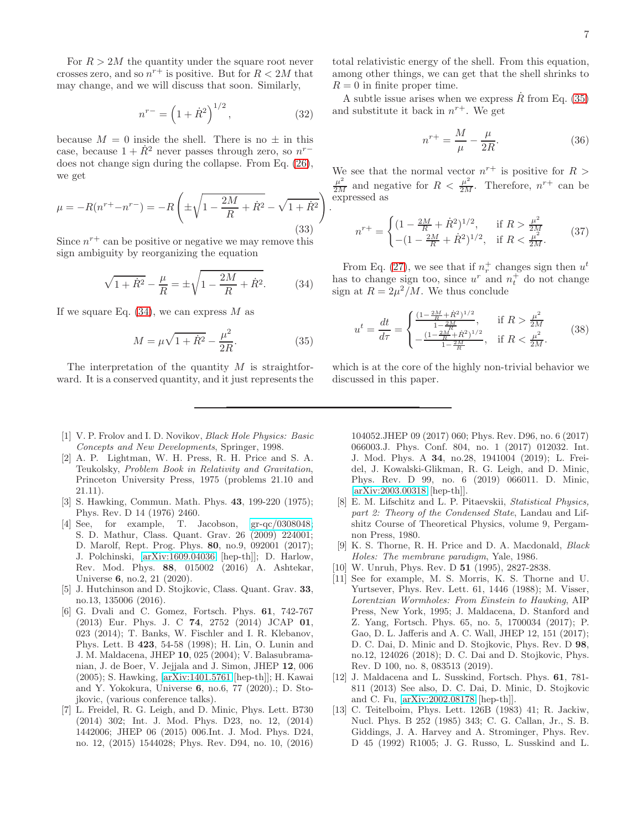For  $R > 2M$  the quantity under the square root never crosses zero, and so  $n^{r+}$  is positive. But for  $R < 2M$  that may change, and we will discuss that soon. Similarly,

$$
n^{r-} = \left(1 + \dot{R}^2\right)^{1/2},\tag{32}
$$

.

because  $M = 0$  inside the shell. There is no  $\pm$  in this case, because  $1 + \dot{R}^2$  never passes through zero, so  $n^{r-1}$ does not change sign during the collapse. From Eq. [\(26\)](#page-5-0), we get

$$
\mu = -R(n^{r+} - n^{r-}) = -R\left(\pm\sqrt{1 - \frac{2M}{R} + \dot{R}^2} - \sqrt{1 + \dot{R}^2}\right)
$$
\n(33)

Since  $n^{r+}$  can be positive or negative we may remove this sign ambiguity by reorganizing the equation

<span id="page-6-13"></span>
$$
\sqrt{1 + \dot{R}^2} - \frac{\mu}{R} = \pm \sqrt{1 - \frac{2M}{R} + \dot{R}^2}.
$$
 (34)

If we square Eq.  $(34)$ , we can express M as

<span id="page-6-14"></span>
$$
M = \mu \sqrt{1 + \dot{R}^2} - \frac{\mu^2}{2R}.
$$
 (35)

The interpretation of the quantity  $M$  is straightforward. It is a conserved quantity, and it just represents the

- <span id="page-6-0"></span>[1] V. P. Frolov and I. D. Novikov, Black Hole Physics: Basic Concepts and New Developments, Springer, 1998.
- <span id="page-6-1"></span>[2] A. P. Lightman, W. H. Press, R. H. Price and S. A. Teukolsky, Problem Book in Relativity and Gravitation, Princeton University Press, 1975 (problems 21.10 and 21.11).
- <span id="page-6-2"></span>[3] S. Hawking, Commun. Math. Phys. 43, 199-220 (1975); Phys. Rev. D 14 (1976) 2460.
- <span id="page-6-3"></span>[4] See, for example, T. Jacobson, [gr-qc/0308048;](http://arxiv.org/abs/gr-qc/0308048) S. D. Mathur, Class. Quant. Grav. 26 (2009) 224001; D. Marolf, Rept. Prog. Phys. 80, no.9, 092001 (2017); J. Polchinski, [\[arXiv:1609.04036](http://arxiv.org/abs/1609.04036) [hep-th]]; D. Harlow, Rev. Mod. Phys. 88, 015002 (2016) A. Ashtekar, Universe 6, no.2, 21 (2020).
- <span id="page-6-4"></span>[5] J. Hutchinson and D. Stojkovic, Class. Quant. Grav. 33, no.13, 135006 (2016).
- <span id="page-6-5"></span>[6] G. Dvali and C. Gomez, Fortsch. Phys. 61, 742-767 (2013) Eur. Phys. J. C 74, 2752 (2014) JCAP 01, 023 (2014); T. Banks, W. Fischler and I. R. Klebanov, Phys. Lett. B 423, 54-58 (1998); H. Lin, O. Lunin and J. M. Maldacena, JHEP 10, 025 (2004); V. Balasubramanian, J. de Boer, V. Jejjala and J. Simon, JHEP 12, 006 (2005); S. Hawking, [\[arXiv:1401.5761](http://arxiv.org/abs/1401.5761) [hep-th]]; H. Kawai and Y. Yokokura, Universe 6, no.6, 77 (2020).; D. Stojkovic, (various conference talks).
- <span id="page-6-6"></span>[7] L. Freidel, R. G. Leigh, and D. Minic, Phys. Lett. B730 (2014) 302; Int. J. Mod. Phys. D23, no. 12, (2014) 1442006; JHEP 06 (2015) 006.Int. J. Mod. Phys. D24, no. 12, (2015) 1544028; Phys. Rev. D94, no. 10, (2016)

total relativistic energy of the shell. From this equation, among other things, we can get that the shell shrinks to  $R = 0$  in finite proper time.

A subtle issue arises when we express  $\dot{R}$  from Eq. [\(35\)](#page-6-14) and substitute it back in  $n^{r+}$ . We get

$$
n^{r+} = \frac{M}{\mu} - \frac{\mu}{2R}.\tag{36}
$$

We see that the normal vector  $n^{r+}$  is positive for  $R >$  $\frac{\mu^2}{2M}$  and negative for  $R < \frac{\mu^2}{2M}$ . Therefore,  $n^{r+}$  can be expressed as

$$
n^{r+} = \begin{cases} (1 - \frac{2M}{R} + \dot{R}^2)^{1/2}, & \text{if } R > \frac{\mu^2}{2M} \\ -(1 - \frac{2M}{R} + \dot{R}^2)^{1/2}, & \text{if } R < \frac{\mu^2}{2M}. \end{cases}
$$
(37)

From Eq. [\(27\)](#page-5-1), we see that if  $n_r^+$  changes sign then  $u^t$ has to change sign too, since  $u^r$  and  $n_t^+$  do not change sign at  $R = 2\mu^2/M$ . We thus conclude

$$
u^{t} = \frac{dt}{d\tau} = \begin{cases} \frac{(1 - \frac{2M}{R} + \dot{R}^{2})^{1/2}}{1 - \frac{2M}{R}}, & \text{if } R > \frac{\mu^{2}}{2M} \\ -\frac{(1 - \frac{2M}{R} + \dot{R}^{2})^{1/2}}{1 - \frac{2M}{R}}, & \text{if } R < \frac{\mu^{2}}{2M}. \end{cases}
$$
(38)

which is at the core of the highly non-trivial behavior we discussed in this paper.

104052.JHEP 09 (2017) 060; Phys. Rev. D96, no. 6 (2017) 066003.J. Phys. Conf. 804, no. 1 (2017) 012032. Int. J. Mod. Phys. A 34, no.28, 1941004 (2019); L. Freidel, J. Kowalski-Glikman, R. G. Leigh, and D. Minic, Phys. Rev. D 99, no. 6 (2019) 066011. D. Minic, [\[arXiv:2003.00318](http://arxiv.org/abs/2003.00318) [hep-th]].

- <span id="page-6-7"></span>[8] E. M. Lifschitz and L. P. Pitaevskii, Statistical Physics, part 2: Theory of the Condensed State, Landau and Lifshitz Course of Theoretical Physics, volume 9, Pergamnon Press, 1980.
- <span id="page-6-8"></span>[9] K. S. Thorne, R. H. Price and D. A. Macdonald, Black Holes: The membrane paradigm, Yale, 1986.
- <span id="page-6-9"></span>[10] W. Unruh, Phys. Rev. D **51** (1995), 2827-2838.
- <span id="page-6-10"></span>[11] See for example, M. S. Morris, K. S. Thorne and U. Yurtsever, Phys. Rev. Lett. 61, 1446 (1988); M. Visser, Lorentzian Wormholes: From Einstein to Hawking, AIP Press, New York, 1995; J. Maldacena, D. Stanford and Z. Yang, Fortsch. Phys. 65, no. 5, 1700034 (2017); P. Gao, D. L. Jafferis and A. C. Wall, JHEP 12, 151 (2017); D. C. Dai, D. Minic and D. Stojkovic, Phys. Rev. D 98, no.12, 124026 (2018); D. C. Dai and D. Stojkovic, Phys. Rev. D 100, no. 8, 083513 (2019).
- <span id="page-6-11"></span>[12] J. Maldacena and L. Susskind, Fortsch. Phys. 61, 781- 811 (2013) See also, D. C. Dai, D. Minic, D. Stojkovic and C. Fu, [\[arXiv:2002.08178](http://arxiv.org/abs/2002.08178) [hep-th]].
- <span id="page-6-12"></span>[13] C. Teitelboim, Phys. Lett. 126B (1983) 41; R. Jackiw, Nucl. Phys. B 252 (1985) 343; C. G. Callan, Jr., S. B. Giddings, J. A. Harvey and A. Strominger, Phys. Rev. D 45 (1992) R1005; J. G. Russo, L. Susskind and L.